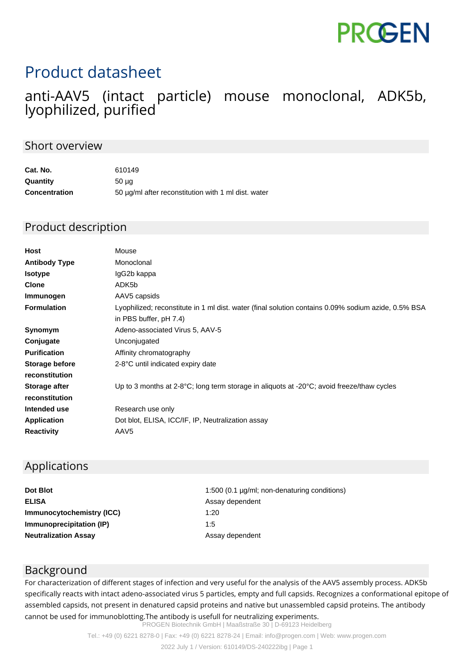# **PROGEN**

## Product datasheet

### anti-AAV5 (intact particle) mouse monoclonal, ADK5b, lyophilized, purified

#### Short overview

| Cat. No.             | 610149                                              |
|----------------------|-----------------------------------------------------|
| Quantity             | 50 <sub>µq</sub>                                    |
| <b>Concentration</b> | 50 µg/ml after reconstitution with 1 ml dist. water |

#### Product description

| <b>Host</b>          | Mouse                                                                                                         |
|----------------------|---------------------------------------------------------------------------------------------------------------|
| <b>Antibody Type</b> | Monoclonal                                                                                                    |
| <b>Isotype</b>       | IgG2b kappa                                                                                                   |
| <b>Clone</b>         | ADK5b                                                                                                         |
| Immunogen            | AAV5 capsids                                                                                                  |
| <b>Formulation</b>   | Lyophilized; reconstitute in 1 ml dist. water (final solution contains 0.09% sodium azide, 0.5% BSA           |
|                      | in PBS buffer, pH 7.4)                                                                                        |
| Synomym              | Adeno-associated Virus 5, AAV-5                                                                               |
| Conjugate            | Unconjugated                                                                                                  |
| <b>Purification</b>  | Affinity chromatography                                                                                       |
| Storage before       | 2-8°C until indicated expiry date                                                                             |
| reconstitution       |                                                                                                               |
| <b>Storage after</b> | Up to 3 months at $2-8\degree C$ ; long term storage in aliquots at $-20\degree C$ ; avoid freeze/thaw cycles |
| reconstitution       |                                                                                                               |
| Intended use         | Research use only                                                                                             |
| <b>Application</b>   | Dot blot, ELISA, ICC/IF, IP, Neutralization assay                                                             |
| <b>Reactivity</b>    | AAV <sub>5</sub>                                                                                              |

#### Applications

| 1:500 (0.1 µg/ml; non-denaturing conditions) |
|----------------------------------------------|
| Assay dependent                              |
| 1:20                                         |
| 1:5                                          |
| Assay dependent                              |
|                                              |

#### Background

For characterization of different stages of infection and very useful for the analysis of the AAV5 assembly process. ADK5b specifically reacts with intact adeno-associated virus 5 particles, empty and full capsids. Recognizes a conformational epitope of assembled capsids, not present in denatured capsid proteins and native but unassembled capsid proteins. The antibody cannot be used for immunoblotting.The antibody is usefull for neutralizing experiments.

PROGEN Biotechnik GmbH | Maaßstraße 30 | D-69123 Heidelberg

Tel.: +49 (0) 6221 8278-0 | Fax: +49 (0) 6221 8278-24 | Email: info@progen.com | Web: www.progen.com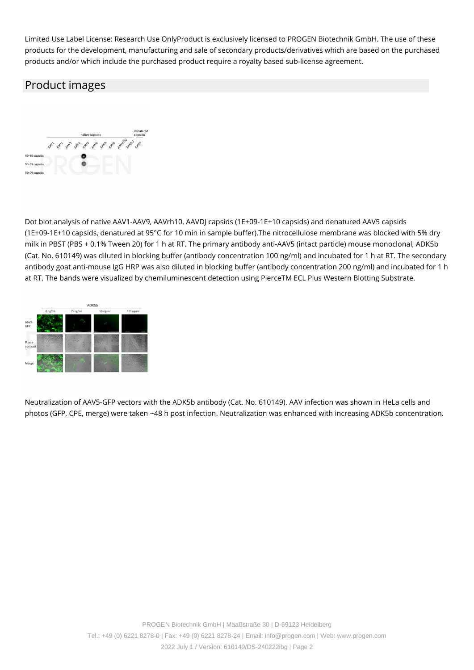Limited Use Label License: Research Use OnlyProduct is exclusively licensed to PROGEN Biotechnik GmbH. The use of these products for the development, manufacturing and sale of secondary products/derivatives which are based on the purchased products and/or which include the purchased product require a royalty based sub-license agreement.

#### Product images



Dot blot analysis of native AAV1-AAV9, AAVrh10, AAVDJ capsids (1E+09-1E+10 capsids) and denatured AAV5 capsids (1E+09-1E+10 capsids, denatured at 95°C for 10 min in sample buffer).The nitrocellulose membrane was blocked with 5% dry milk in PBST (PBS + 0.1% Tween 20) for 1 h at RT. The primary antibody anti-AAV5 (intact particle) mouse monoclonal, ADK5b (Cat. No. 610149) was diluted in blocking buffer (antibody concentration 100 ng/ml) and incubated for 1 h at RT. The secondary antibody goat anti-mouse IgG HRP was also diluted in blocking buffer (antibody concentration 200 ng/ml) and incubated for 1 h at RT. The bands were visualized by chemiluminescent detection using PierceTM ECL Plus Western Blotting Substrate.



Neutralization of AAV5-GFP vectors with the ADK5b antibody (Cat. No. 610149). AAV infection was shown in HeLa cells and photos (GFP, CPE, merge) were taken ~48 h post infection. Neutralization was enhanced with increasing ADK5b concentration.